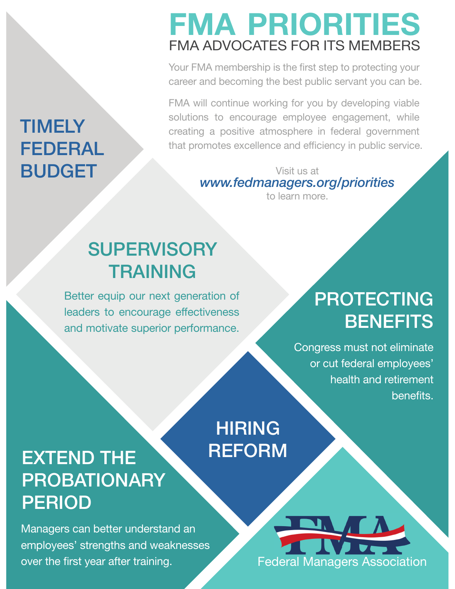# FMA PRIORITIES FMA ADVOCATES FOR ITS MEMBERS

Your FMA membership is the first step to protecting your career and becoming the best public servant you can be.

FMA will continue working for you by developing viable solutions to encourage employee engagement, while creating a positive atmosphere in federal government that promotes excellence and efficiency in public service.

> Visit us at *www.fedmanagers.org/priorities* to learn more.

### **SUPERVISORY** TRAINING

Better equip our next generation of leaders to encourage effectiveness and motivate superior performance.

# PROTECTING **BENEFITS**

Congress must not eliminate or cut federal employees' health and retirement benefits.

## HIRING **REFORM**

## EXTEND THE PROBATIONARY PERIOD

Managers can better understand an employees' strengths and weaknesses over the first year after training.



#### **TIMELY** FEDERAL BUDGET